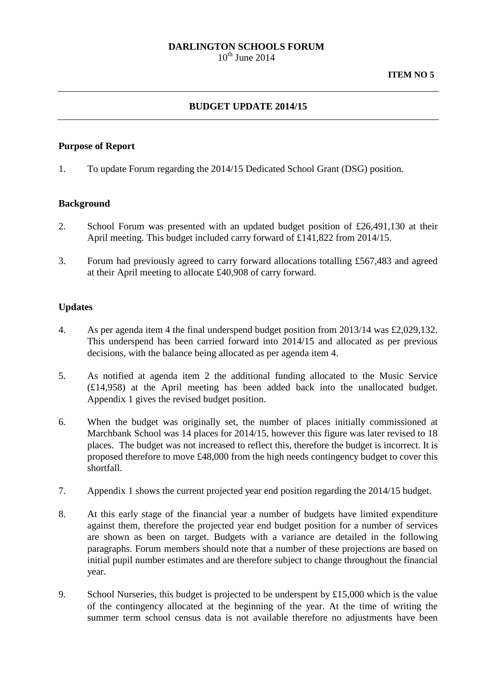# **DARLINGTON SCHOOLS FORUM**

 $10^{th}$  June 2014

# **BUDGET UPDATE 2014/15**

#### **Purpose of Report**

1. To update Forum regarding the 2014/15 Dedicated School Grant (DSG) position.

### **Background**

- 2. School Forum was presented with an updated budget position of £26,491,130 at their April meeting. This budget included carry forward of £141,822 from 2014/15.
- 3. Forum had previously agreed to carry forward allocations totalling £567,483 and agreed at their April meeting to allocate £40,908 of carry forward.

### **Updates**

- 4. As per agenda item 4 the final underspend budget position from 2013/14 was £2,029,132. This underspend has been carried forward into 2014/15 and allocated as per previous decisions, with the balance being allocated as per agenda item 4.
- 5. As notified at agenda item 2 the additional funding allocated to the Music Service (£14,958) at the April meeting has been added back into the unallocated budget. Appendix 1 gives the revised budget position.
- 6. When the budget was originally set, the number of places initially commissioned at Marchbank School was 14 places for 2014/15, however this figure was later revised to 18 places. The budget was not increased to reflect this, therefore the budget is incorrect. It is proposed therefore to move £48,000 from the high needs contingency budget to cover this shortfall.
- 7. Appendix 1 shows the current projected year end position regarding the 2014/15 budget.
- 8. At this early stage of the financial year a number of budgets have limited expenditure against them, therefore the projected year end budget position for a number of services are shown as been on target. Budgets with a variance are detailed in the following paragraphs. Forum members should note that a number of these projections are based on initial pupil number estimates and are therefore subject to change throughout the financial year.
- 9. School Nurseries, this budget is projected to be underspent by £15,000 which is the value of the contingency allocated at the beginning of the year. At the time of writing the summer term school census data is not available therefore no adjustments have been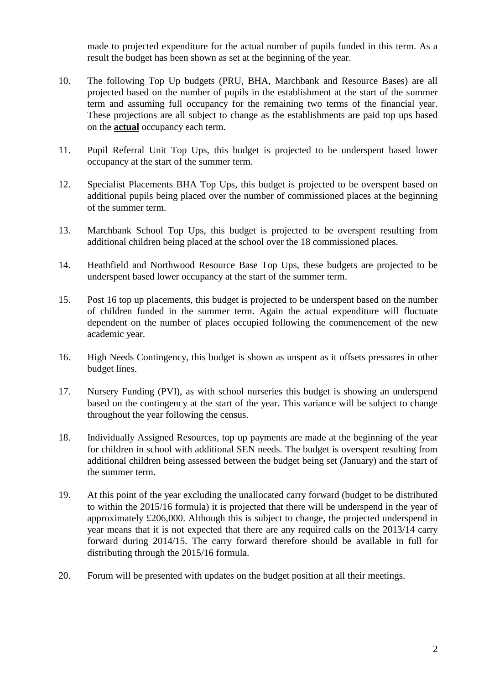made to projected expenditure for the actual number of pupils funded in this term. As a result the budget has been shown as set at the beginning of the year.

- 10. The following Top Up budgets (PRU, BHA, Marchbank and Resource Bases) are all projected based on the number of pupils in the establishment at the start of the summer term and assuming full occupancy for the remaining two terms of the financial year. These projections are all subject to change as the establishments are paid top ups based on the **actual** occupancy each term.
- 11. Pupil Referral Unit Top Ups, this budget is projected to be underspent based lower occupancy at the start of the summer term.
- 12. Specialist Placements BHA Top Ups, this budget is projected to be overspent based on additional pupils being placed over the number of commissioned places at the beginning of the summer term.
- 13. Marchbank School Top Ups, this budget is projected to be overspent resulting from additional children being placed at the school over the 18 commissioned places.
- 14. Heathfield and Northwood Resource Base Top Ups, these budgets are projected to be underspent based lower occupancy at the start of the summer term.
- 15. Post 16 top up placements, this budget is projected to be underspent based on the number of children funded in the summer term. Again the actual expenditure will fluctuate dependent on the number of places occupied following the commencement of the new academic year.
- 16. High Needs Contingency, this budget is shown as unspent as it offsets pressures in other budget lines.
- 17. Nursery Funding (PVI), as with school nurseries this budget is showing an underspend based on the contingency at the start of the year. This variance will be subject to change throughout the year following the census.
- 18. Individually Assigned Resources, top up payments are made at the beginning of the year for children in school with additional SEN needs. The budget is overspent resulting from additional children being assessed between the budget being set (January) and the start of the summer term.
- 19. At this point of the year excluding the unallocated carry forward (budget to be distributed to within the 2015/16 formula) it is projected that there will be underspend in the year of approximately £206,000. Although this is subject to change, the projected underspend in year means that it is not expected that there are any required calls on the 2013/14 carry forward during 2014/15. The carry forward therefore should be available in full for distributing through the 2015/16 formula.
- 20. Forum will be presented with updates on the budget position at all their meetings.